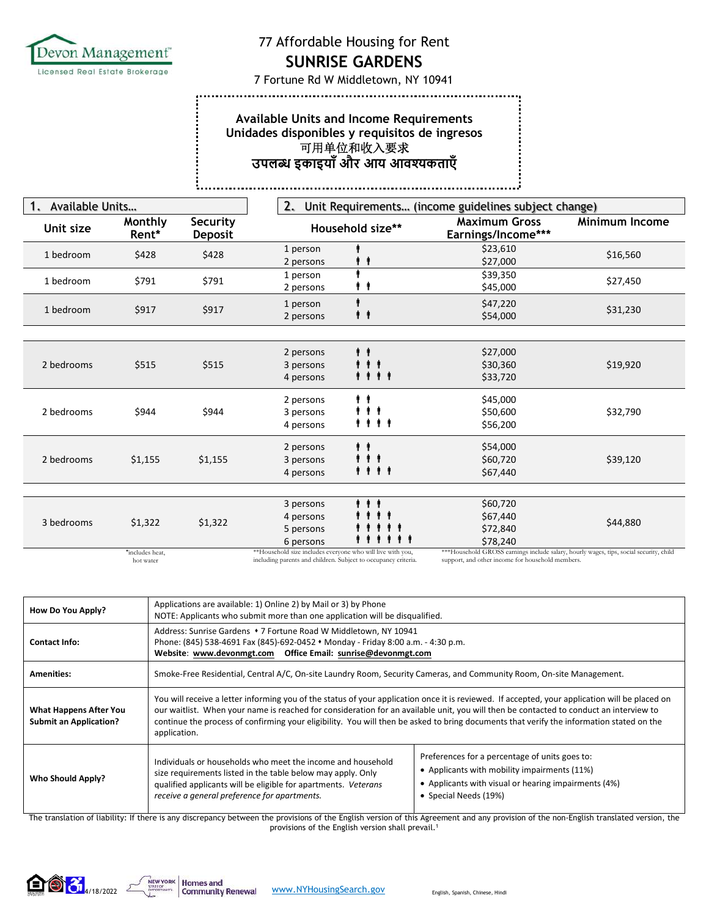

...............

š,

## 77 Affordable Housing for Rent

**SUNRISE GARDENS** 

7 Fortune Rd W Middletown, NY 10941

## **Available Units and Income Requirements Unidades disponibles y requisitos de ingresos**  可用单位和收入要求 **उपल इकाइयाँऔर आय आवकताएँ**

| Available Units<br>1. |                  |                            | 2.<br>Unit Requirements (income guidelines subject change) |                                                                                        |                |
|-----------------------|------------------|----------------------------|------------------------------------------------------------|----------------------------------------------------------------------------------------|----------------|
| Unit size             | Monthly<br>Rent* | Security<br><b>Deposit</b> | Household size**                                           | <b>Maximum Gross</b><br>Earnings/Income***                                             | Minimum Income |
| 1 bedroom             | \$428            | \$428                      | 1 person<br>2 persons                                      | \$23,610<br>\$27,000                                                                   | \$16,560       |
| 1 bedroom             | \$791            | \$791                      | 1 person<br>. .<br>2 persons                               | \$39,350<br>\$45,000                                                                   | \$27,450       |
| 1 bedroom             | \$917            | \$917                      | 1 person<br>ŤÍ<br>2 persons                                | \$47,220<br>\$54,000                                                                   | \$31,230       |
|                       |                  |                            |                                                            |                                                                                        |                |
| 2 bedrooms            | \$515            | \$515                      | 2 persons<br>.<br>3 persons<br>.<br>4 persons              | \$27,000<br>\$30,360<br>\$33,720                                                       | \$19,920       |
| 2 bedrooms            | \$944            | \$944                      | $\dot{r}$<br>2 persons<br>.<br>3 persons<br>4 persons      | \$45,000<br>\$50,600<br>\$56,200                                                       | \$32,790       |
| 2 bedrooms            | \$1,155          | \$1,155                    | . .<br>2 persons<br>.<br>3 persons<br>4 persons            | \$54,000<br>\$60,720<br>\$67,440                                                       | \$39,120       |
|                       |                  |                            |                                                            |                                                                                        |                |
| 3 bedrooms            | \$1,322          | \$1,322                    | .<br>3 persons<br>4 persons<br>5 persons<br>6 persons      | \$60,720<br>\$67,440<br>\$72,840<br>\$78,240                                           | \$44,880       |
|                       | *includes heat,  |                            | **Household size includes everyone who will live with you, | ***Household GROSS earnings include salary, hourly wages, tips, social security, child |                |

\*includes heat, hot water

including parents and children. Subject to occupancy criteria.

support, and other income for household members.

| Address: Sunrise Gardens • 7 Fortune Road W Middletown, NY 10941<br>Phone: (845) 538-4691 Fax (845)-692-0452 • Monday - Friday 8:00 a.m. - 4:30 p.m.<br><b>Contact Info:</b>                                                                                                                                                                                                                                                                                                                                                                                                                                                                          |                                                                                                                                                                                                                                                                                                                                                                                                                                      |  |  |
|-------------------------------------------------------------------------------------------------------------------------------------------------------------------------------------------------------------------------------------------------------------------------------------------------------------------------------------------------------------------------------------------------------------------------------------------------------------------------------------------------------------------------------------------------------------------------------------------------------------------------------------------------------|--------------------------------------------------------------------------------------------------------------------------------------------------------------------------------------------------------------------------------------------------------------------------------------------------------------------------------------------------------------------------------------------------------------------------------------|--|--|
|                                                                                                                                                                                                                                                                                                                                                                                                                                                                                                                                                                                                                                                       |                                                                                                                                                                                                                                                                                                                                                                                                                                      |  |  |
| Smoke-Free Residential, Central A/C, On-site Laundry Room, Security Cameras, and Community Room, On-site Management.<br><b>Amenities:</b>                                                                                                                                                                                                                                                                                                                                                                                                                                                                                                             |                                                                                                                                                                                                                                                                                                                                                                                                                                      |  |  |
| <b>What Happens After You</b><br><b>Submit an Application?</b><br>application.                                                                                                                                                                                                                                                                                                                                                                                                                                                                                                                                                                        | You will receive a letter informing you of the status of your application once it is reviewed. If accepted, your application will be placed on<br>our waitlist. When your name is reached for consideration for an available unit, you will then be contacted to conduct an interview to<br>continue the process of confirming your eligibility. You will then be asked to bring documents that verify the information stated on the |  |  |
| Preferences for a percentage of units goes to:<br>Individuals or households who meet the income and household<br>• Applicants with mobility impairments (11%)<br>size requirements listed in the table below may apply. Only<br><b>Who Should Apply?</b><br>• Applicants with visual or hearing impairments (4%)<br>qualified applicants will be eligible for apartments. Veterans<br>• Special Needs (19%)<br>receive a general preference for apartments.<br>The translation of liability: If there is any discrepancy between the provisions of the English version of this Agreement and any provision of the non-English translated version, the |                                                                                                                                                                                                                                                                                                                                                                                                                                      |  |  |

provisions of the English version shall prevail.1